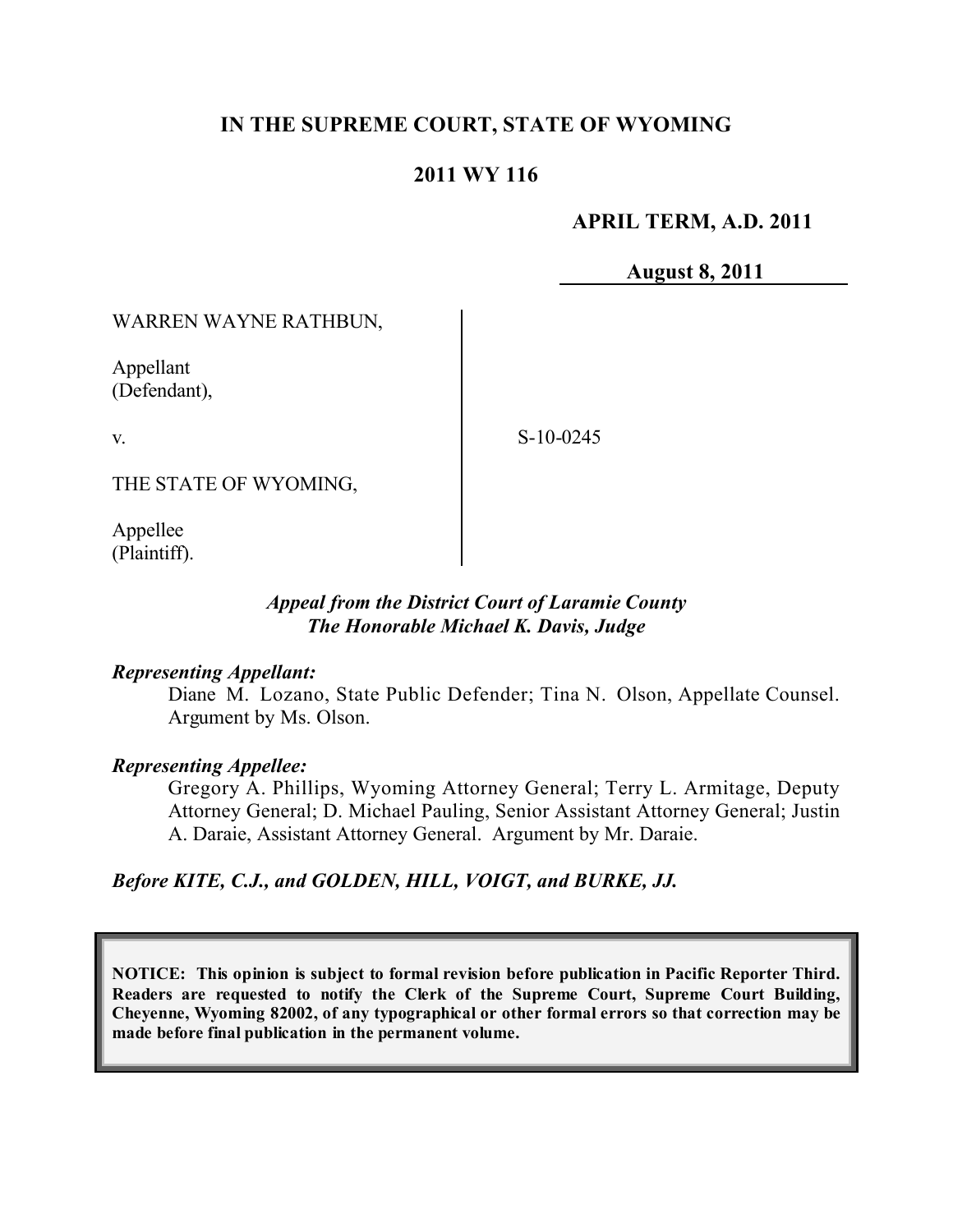# **IN THE SUPREME COURT, STATE OF WYOMING**

### **2011 WY 116**

### **APRIL TERM, A.D. 2011**

**August 8, 2011**

#### WARREN WAYNE RATHBUN,

Appellant (Defendant),

v.

S-10-0245

THE STATE OF WYOMING,

Appellee (Plaintiff).

### *Appeal from the District Court of Laramie County The Honorable Michael K. Davis, Judge*

#### *Representing Appellant:*

Diane M. Lozano, State Public Defender; Tina N. Olson, Appellate Counsel. Argument by Ms. Olson.

### *Representing Appellee:*

Gregory A. Phillips, Wyoming Attorney General; Terry L. Armitage, Deputy Attorney General; D. Michael Pauling, Senior Assistant Attorney General; Justin A. Daraie, Assistant Attorney General. Argument by Mr. Daraie.

*Before KITE, C.J., and GOLDEN, HILL, VOIGT, and BURKE, JJ.*

**NOTICE: This opinion is subject to formal revision before publication in Pacific Reporter Third. Readers are requested to notify the Clerk of the Supreme Court, Supreme Court Building, Cheyenne, Wyoming 82002, of any typographical or other formal errors so that correction may be made before final publication in the permanent volume.**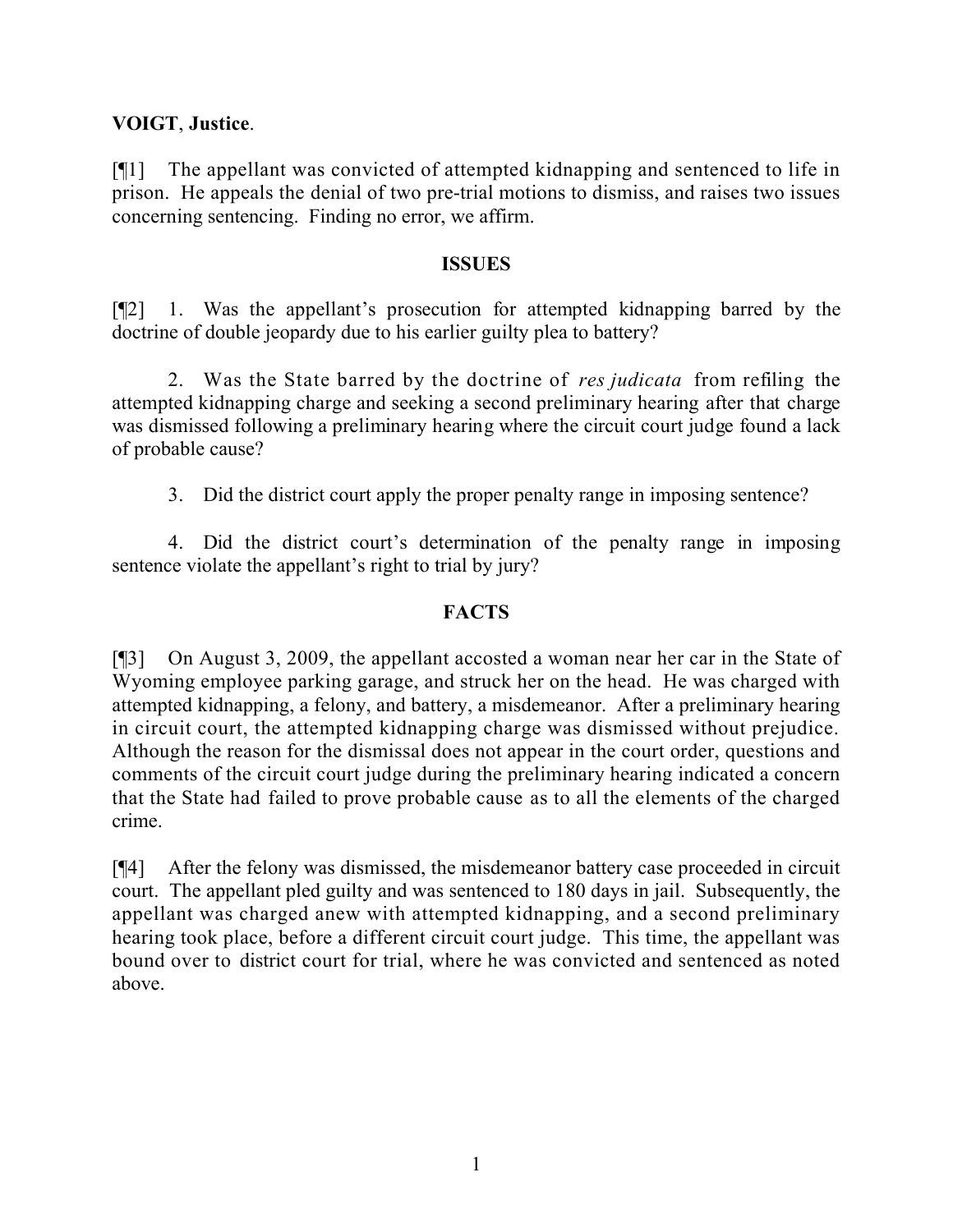## **VOIGT**, **Justice**.

[¶1] The appellant was convicted of attempted kidnapping and sentenced to life in prison. He appeals the denial of two pre-trial motions to dismiss, and raises two issues concerning sentencing. Finding no error, we affirm.

### **ISSUES**

[¶2] 1. Was the appellant's prosecution for attempted kidnapping barred by the doctrine of double jeopardy due to his earlier guilty plea to battery?

2. Was the State barred by the doctrine of *res judicata* from refiling the attempted kidnapping charge and seeking a second preliminary hearing after that charge was dismissed following a preliminary hearing where the circuit court judge found a lack of probable cause?

3. Did the district court apply the proper penalty range in imposing sentence?

4. Did the district court's determination of the penalty range in imposing sentence violate the appellant's right to trial by jury?

## **FACTS**

[¶3] On August 3, 2009, the appellant accosted a woman near her car in the State of Wyoming employee parking garage, and struck her on the head. He was charged with attempted kidnapping, a felony, and battery, a misdemeanor. After a preliminary hearing in circuit court, the attempted kidnapping charge was dismissed without prejudice. Although the reason for the dismissal does not appear in the court order, questions and comments of the circuit court judge during the preliminary hearing indicated a concern that the State had failed to prove probable cause as to all the elements of the charged crime.

[¶4] After the felony was dismissed, the misdemeanor battery case proceeded in circuit court. The appellant pled guilty and was sentenced to 180 days in jail. Subsequently, the appellant was charged anew with attempted kidnapping, and a second preliminary hearing took place, before a different circuit court judge. This time, the appellant was bound over to district court for trial, where he was convicted and sentenced as noted above.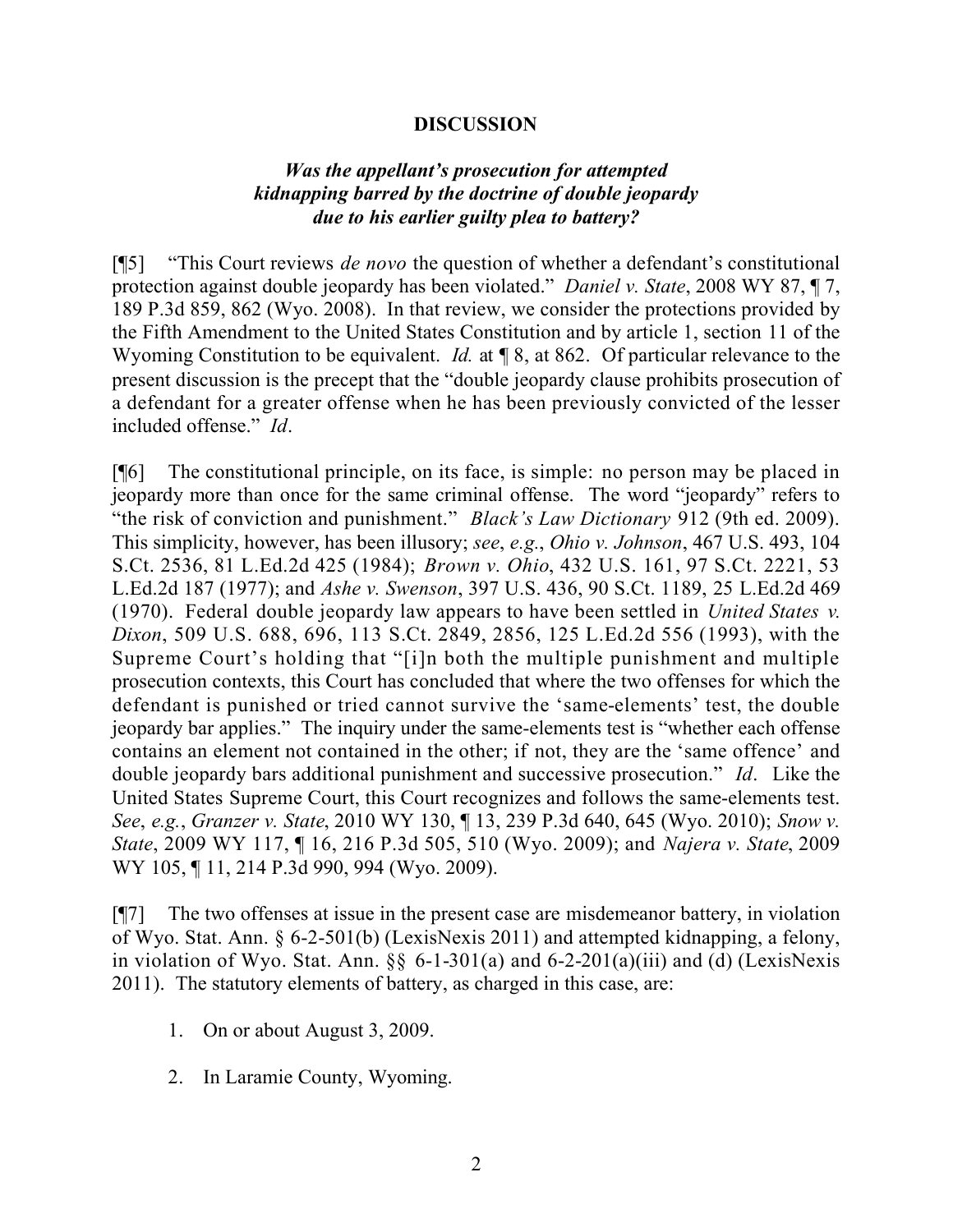#### **DISCUSSION**

### *Was the appellant's prosecution for attempted kidnapping barred by the doctrine of double jeopardy due to his earlier guilty plea to battery?*

[¶5] "This Court reviews *de novo* the question of whether a defendant's constitutional protection against double jeopardy has been violated." *Daniel v. State*, 2008 WY 87, ¶ 7, 189 P.3d 859, 862 (Wyo. 2008). In that review, we consider the protections provided by the Fifth Amendment to the United States Constitution and by article 1, section 11 of the Wyoming Constitution to be equivalent. *Id.* at **[8, at 862.** Of particular relevance to the present discussion is the precept that the "double jeopardy clause prohibits prosecution of a defendant for a greater offense when he has been previously convicted of the lesser included offense." *Id*.

[¶6] The constitutional principle, on its face, is simple: no person may be placed in jeopardy more than once for the same criminal offense. The word "jeopardy" refers to "the risk of conviction and punishment." *Black's Law Dictionary* 912 (9th ed. 2009). This simplicity, however, has been illusory; *see*, *e.g.*, *Ohio v. Johnson*, 467 U.S. 493, 104 S.Ct. 2536, 81 L.Ed.2d 425 (1984); *Brown v. Ohio*, 432 U.S. 161, 97 S.Ct. 2221, 53 L.Ed.2d 187 (1977); and *Ashe v. Swenson*, 397 U.S. 436, 90 S.Ct. 1189, 25 L.Ed.2d 469 (1970). Federal double jeopardy law appears to have been settled in *United States v. Dixon*, 509 U.S. 688, 696, 113 S.Ct. 2849, 2856, 125 L.Ed.2d 556 (1993), with the Supreme Court's holding that "[i]n both the multiple punishment and multiple prosecution contexts, this Court has concluded that where the two offenses for which the defendant is punished or tried cannot survive the 'same-elements' test, the double jeopardy bar applies." The inquiry under the same-elements test is "whether each offense contains an element not contained in the other; if not, they are the 'same offence' and double jeopardy bars additional punishment and successive prosecution." *Id*. Like the United States Supreme Court, this Court recognizes and follows the same-elements test. *See*, *e.g.*, *Granzer v. State*, 2010 WY 130, ¶ 13, 239 P.3d 640, 645 (Wyo. 2010); *Snow v. State*, 2009 WY 117, ¶ 16, 216 P.3d 505, 510 (Wyo. 2009); and *Najera v. State*, 2009 WY 105, 11, 214 P.3d 990, 994 (Wyo. 2009).

[¶7] The two offenses at issue in the present case are misdemeanor battery, in violation of Wyo. Stat. Ann. § 6-2-501(b) (LexisNexis 2011) and attempted kidnapping, a felony, in violation of Wyo. Stat. Ann.  $\S$ § 6-1-301(a) and 6-2-201(a)(iii) and (d) (LexisNexis 2011). The statutory elements of battery, as charged in this case, are:

- 1. On or about August 3, 2009.
- 2. In Laramie County, Wyoming.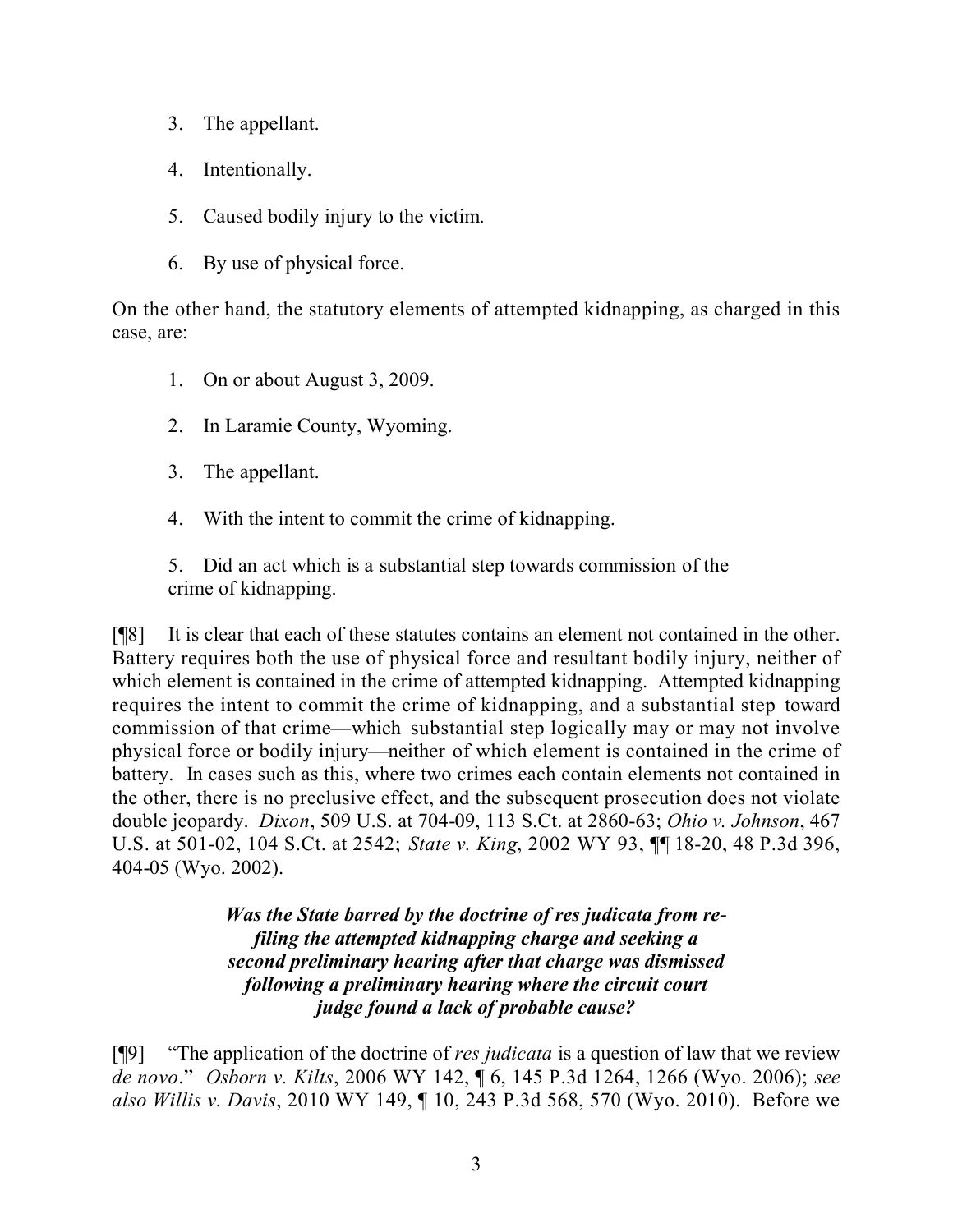- 3. The appellant.
- 4. Intentionally.
- 5. Caused bodily injury to the victim.
- 6. By use of physical force.

On the other hand, the statutory elements of attempted kidnapping, as charged in this case, are:

- 1. On or about August 3, 2009.
- 2. In Laramie County, Wyoming.
- 3. The appellant.
- 4. With the intent to commit the crime of kidnapping.
- 5. Did an act which is a substantial step towards commission of the crime of kidnapping.

[¶8] It is clear that each of these statutes contains an element not contained in the other. Battery requires both the use of physical force and resultant bodily injury, neither of which element is contained in the crime of attempted kidnapping. Attempted kidnapping requires the intent to commit the crime of kidnapping, and a substantial step toward commission of that crime—which substantial step logically may or may not involve physical force or bodily injury—neither of which element is contained in the crime of battery. In cases such as this, where two crimes each contain elements not contained in the other, there is no preclusive effect, and the subsequent prosecution does not violate double jeopardy. *Dixon*, 509 U.S. at 704-09, 113 S.Ct. at 2860-63; *Ohio v. Johnson*, 467 U.S. at 501-02, 104 S.Ct. at 2542; *State v. King*, 2002 WY 93, ¶¶ 18-20, 48 P.3d 396, 404-05 (Wyo. 2002).

> *Was the State barred by the doctrine of res judicata from refiling the attempted kidnapping charge and seeking a second preliminary hearing after that charge was dismissed following a preliminary hearing where the circuit court judge found a lack of probable cause?*

[¶9] "The application of the doctrine of *res judicata* is a question of law that we review *de novo*." *Osborn v. Kilts*, 2006 WY 142, ¶ 6, 145 P.3d 1264, 1266 (Wyo. 2006); *see also Willis v. Davis*, 2010 WY 149, ¶ 10, 243 P.3d 568, 570 (Wyo. 2010). Before we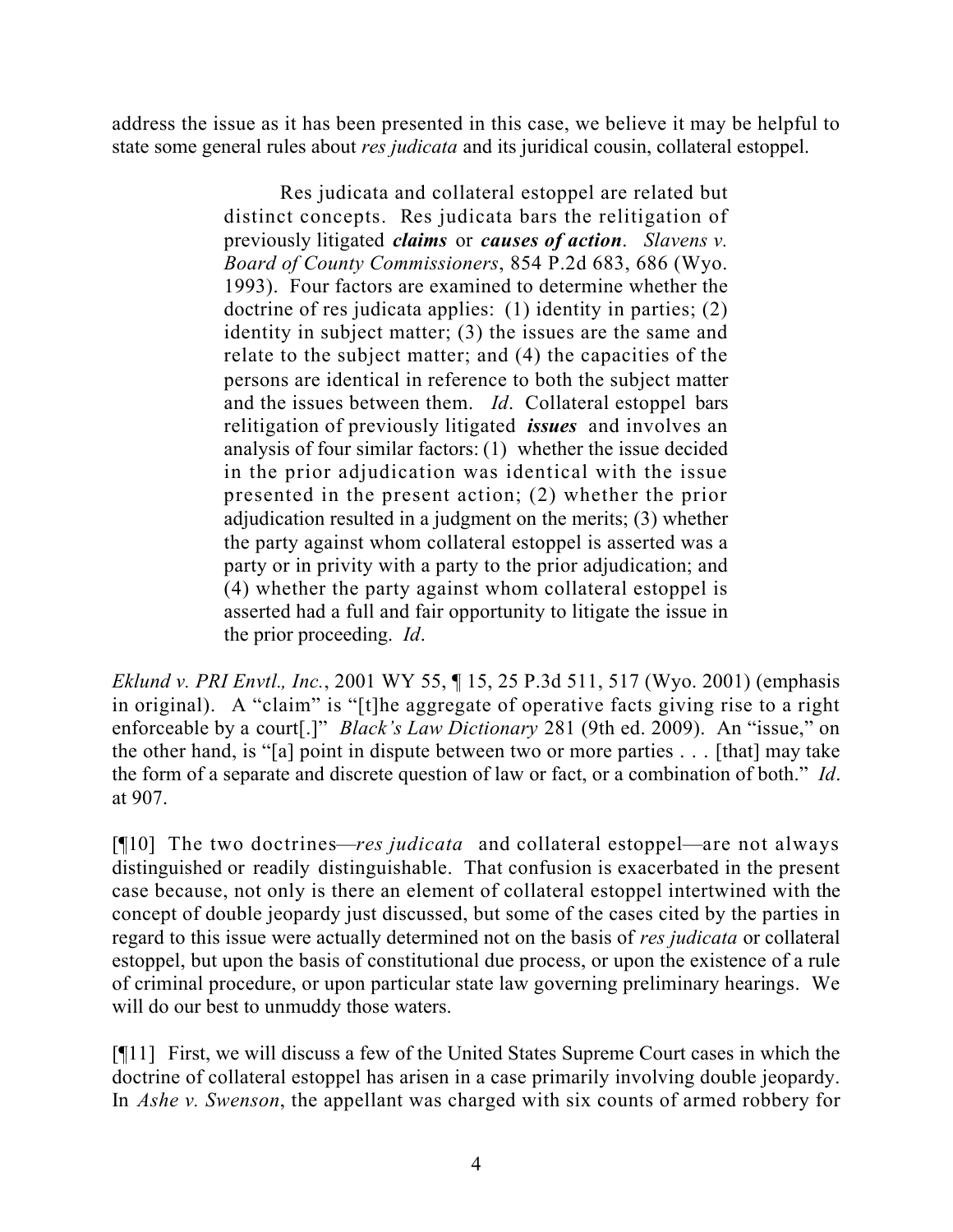address the issue as it has been presented in this case, we believe it may be helpful to state some general rules about *res judicata* and its juridical cousin, collateral estoppel.

> Res judicata and collateral estoppel are related but distinct concepts. Res judicata bars the relitigation of previously litigated *claims* or *causes of action*. *Slavens v. Board of County Commissioners*, 854 P.2d 683, 686 (Wyo. 1993). Four factors are examined to determine whether the doctrine of res judicata applies: (1) identity in parties; (2) identity in subject matter; (3) the issues are the same and relate to the subject matter; and (4) the capacities of the persons are identical in reference to both the subject matter and the issues between them. *Id*. Collateral estoppel bars relitigation of previously litigated *issues* and involves an analysis of four similar factors: (1) whether the issue decided in the prior adjudication was identical with the issue presented in the present action; (2) whether the prior adjudication resulted in a judgment on the merits; (3) whether the party against whom collateral estoppel is asserted was a party or in privity with a party to the prior adjudication; and (4) whether the party against whom collateral estoppel is asserted had a full and fair opportunity to litigate the issue in the prior proceeding. *Id*.

*Eklund v. PRI Envtl., Inc.*, 2001 WY 55, ¶ 15, 25 P.3d 511, 517 (Wyo. 2001) (emphasis in original). A "claim" is "[t]he aggregate of operative facts giving rise to a right enforceable by a court[.]" *Black's Law Dictionary* 281 (9th ed. 2009). An "issue," on the other hand, is "[a] point in dispute between two or more parties . . . [that] may take the form of a separate and discrete question of law or fact, or a combination of both." *Id*. at 907.

[¶10] The two doctrines—*res judicata* and collateral estoppel—are not always distinguished or readily distinguishable. That confusion is exacerbated in the present case because, not only is there an element of collateral estoppel intertwined with the concept of double jeopardy just discussed, but some of the cases cited by the parties in regard to this issue were actually determined not on the basis of *res judicata* or collateral estoppel, but upon the basis of constitutional due process, or upon the existence of a rule of criminal procedure, or upon particular state law governing preliminary hearings. We will do our best to unmuddy those waters.

[¶11] First, we will discuss a few of the United States Supreme Court cases in which the doctrine of collateral estoppel has arisen in a case primarily involving double jeopardy. In *Ashe v. Swenson*, the appellant was charged with six counts of armed robbery for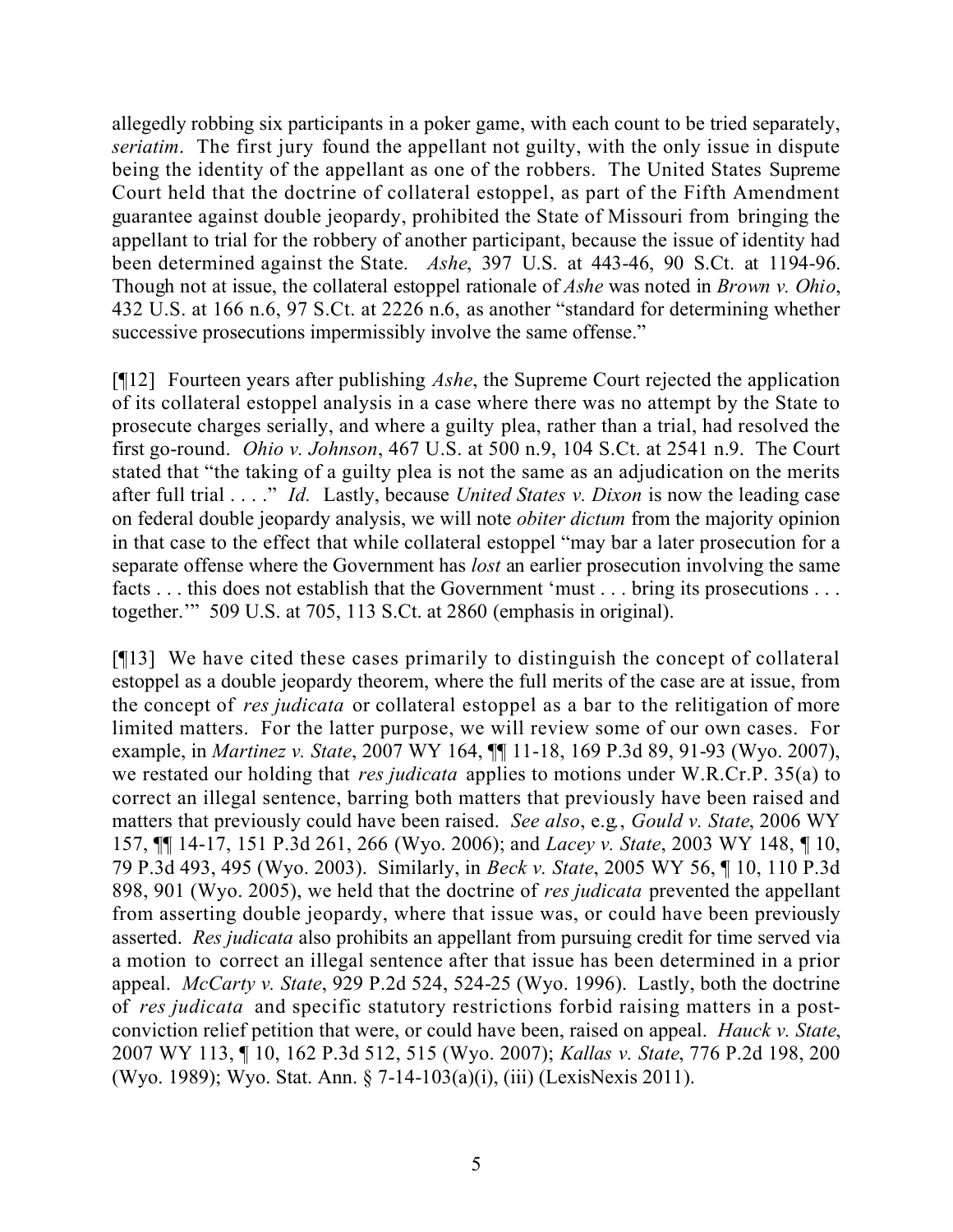allegedly robbing six participants in a poker game, with each count to be tried separately, *seriatim*. The first jury found the appellant not guilty, with the only issue in dispute being the identity of the appellant as one of the robbers. The United States Supreme Court held that the doctrine of collateral estoppel, as part of the Fifth Amendment guarantee against double jeopardy, prohibited the State of Missouri from bringing the appellant to trial for the robbery of another participant, because the issue of identity had been determined against the State. *Ashe*, 397 U.S. at 443-46, 90 S.Ct. at 1194-96. Though not at issue, the collateral estoppel rationale of *Ashe* was noted in *Brown v. Ohio*, 432 U.S. at 166 n.6, 97 S.Ct. at 2226 n.6, as another "standard for determining whether successive prosecutions impermissibly involve the same offense."

[¶12] Fourteen years after publishing *Ashe*, the Supreme Court rejected the application of its collateral estoppel analysis in a case where there was no attempt by the State to prosecute charges serially, and where a guilty plea, rather than a trial, had resolved the first go-round. *Ohio v. Johnson*, 467 U.S. at 500 n.9, 104 S.Ct. at 2541 n.9. The Court stated that "the taking of a guilty plea is not the same as an adjudication on the merits after full trial . . . ." *Id.* Lastly, because *United States v. Dixon* is now the leading case on federal double jeopardy analysis, we will note *obiter dictum* from the majority opinion in that case to the effect that while collateral estoppel "may bar a later prosecution for a separate offense where the Government has *lost* an earlier prosecution involving the same facts . . . this does not establish that the Government 'must . . . bring its prosecutions . . . together.'" 509 U.S. at 705, 113 S.Ct. at 2860 (emphasis in original).

[¶13] We have cited these cases primarily to distinguish the concept of collateral estoppel as a double jeopardy theorem, where the full merits of the case are at issue, from the concept of *res judicata* or collateral estoppel as a bar to the relitigation of more limited matters. For the latter purpose, we will review some of our own cases. For example, in *Martinez v. State*, 2007 WY 164, ¶¶ 11-18, 169 P.3d 89, 91-93 (Wyo. 2007), we restated our holding that *res judicata* applies to motions under W.R.Cr.P. 35(a) to correct an illegal sentence, barring both matters that previously have been raised and matters that previously could have been raised. *See also*, e.g*.*, *Gould v. State*, 2006 WY 157, ¶¶ 14-17, 151 P.3d 261, 266 (Wyo. 2006); and *Lacey v. State*, 2003 WY 148, ¶ 10, 79 P.3d 493, 495 (Wyo. 2003). Similarly, in *Beck v. State*, 2005 WY 56, ¶ 10, 110 P.3d 898, 901 (Wyo. 2005), we held that the doctrine of *res judicata* prevented the appellant from asserting double jeopardy, where that issue was, or could have been previously asserted. *Res judicata* also prohibits an appellant from pursuing credit for time served via a motion to correct an illegal sentence after that issue has been determined in a prior appeal. *McCarty v. State*, 929 P.2d 524, 524-25 (Wyo. 1996). Lastly, both the doctrine of *res judicata* and specific statutory restrictions forbid raising matters in a postconviction relief petition that were, or could have been, raised on appeal. *Hauck v. State*, 2007 WY 113, ¶ 10, 162 P.3d 512, 515 (Wyo. 2007); *Kallas v. State*, 776 P.2d 198, 200 (Wyo. 1989); Wyo. Stat. Ann. § 7-14-103(a)(i), (iii) (LexisNexis 2011).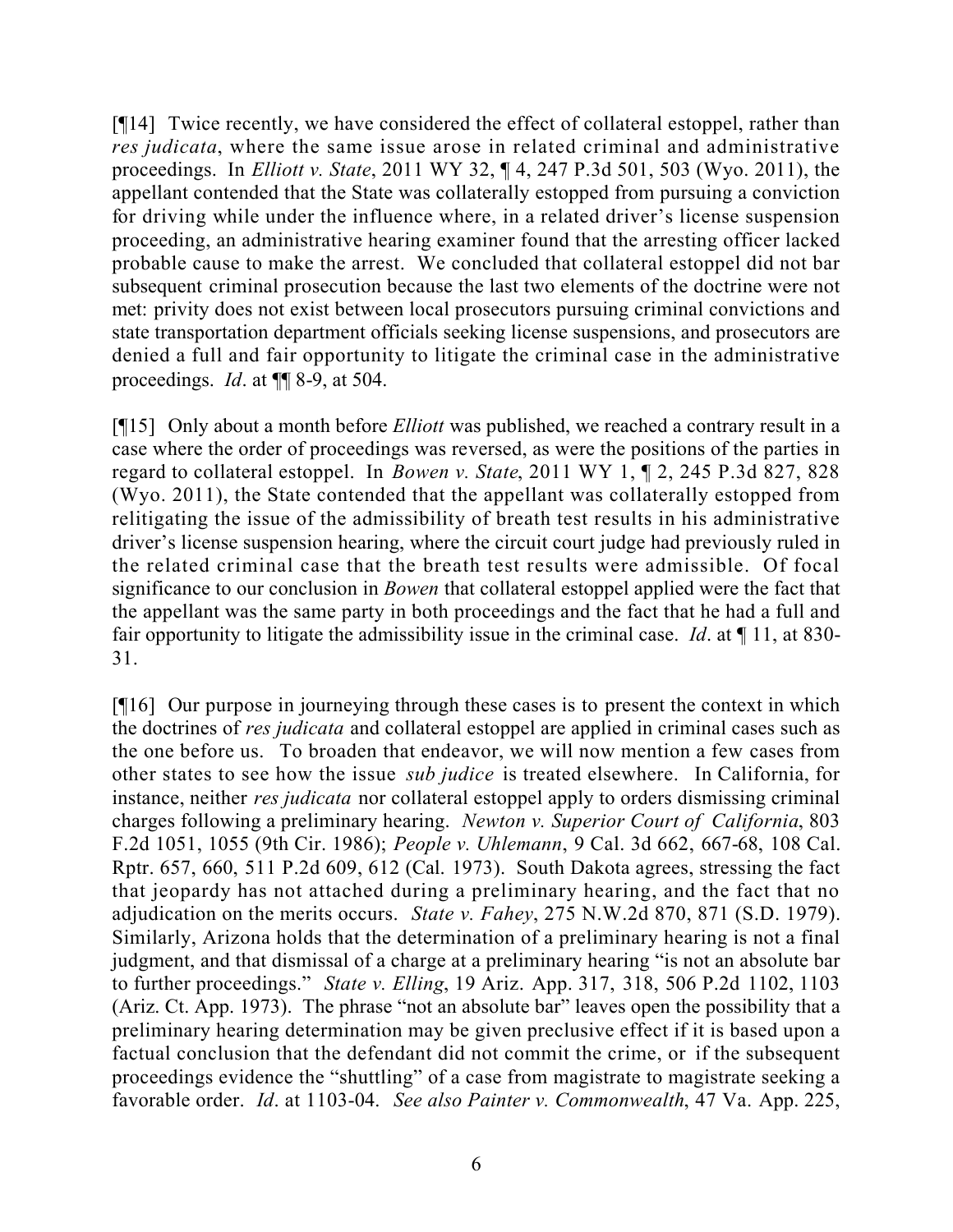[¶14] Twice recently, we have considered the effect of collateral estoppel, rather than *res judicata*, where the same issue arose in related criminal and administrative proceedings. In *Elliott v. State*, 2011 WY 32, ¶ 4, 247 P.3d 501, 503 (Wyo. 2011), the appellant contended that the State was collaterally estopped from pursuing a conviction for driving while under the influence where, in a related driver's license suspension proceeding, an administrative hearing examiner found that the arresting officer lacked probable cause to make the arrest. We concluded that collateral estoppel did not bar subsequent criminal prosecution because the last two elements of the doctrine were not met: privity does not exist between local prosecutors pursuing criminal convictions and state transportation department officials seeking license suspensions, and prosecutors are denied a full and fair opportunity to litigate the criminal case in the administrative proceedings. *Id*. at ¶¶ 8-9, at 504.

[¶15] Only about a month before *Elliott* was published, we reached a contrary result in a case where the order of proceedings was reversed, as were the positions of the parties in regard to collateral estoppel. In *Bowen v. State*, 2011 WY 1, ¶ 2, 245 P.3d 827, 828 (Wyo. 2011), the State contended that the appellant was collaterally estopped from relitigating the issue of the admissibility of breath test results in his administrative driver's license suspension hearing, where the circuit court judge had previously ruled in the related criminal case that the breath test results were admissible. Of focal significance to our conclusion in *Bowen* that collateral estoppel applied were the fact that the appellant was the same party in both proceedings and the fact that he had a full and fair opportunity to litigate the admissibility issue in the criminal case. *Id*. at ¶ 11, at 830- 31.

[¶16] Our purpose in journeying through these cases is to present the context in which the doctrines of *res judicata* and collateral estoppel are applied in criminal cases such as the one before us. To broaden that endeavor, we will now mention a few cases from other states to see how the issue *sub judice* is treated elsewhere. In California, for instance, neither *res judicata* nor collateral estoppel apply to orders dismissing criminal charges following a preliminary hearing. *Newton v. Superior Court of California*, 803 F.2d 1051, 1055 (9th Cir. 1986); *People v. Uhlemann*, 9 Cal. 3d 662, 667-68, 108 Cal. Rptr. 657, 660, 511 P.2d 609, 612 (Cal. 1973). South Dakota agrees, stressing the fact that jeopardy has not attached during a preliminary hearing, and the fact that no adjudication on the merits occurs. *State v. Fahey*, 275 N.W.2d 870, 871 (S.D. 1979). Similarly, Arizona holds that the determination of a preliminary hearing is not a final judgment, and that dismissal of a charge at a preliminary hearing "is not an absolute bar to further proceedings." *State v. Elling*, 19 Ariz. App. 317, 318, 506 P.2d 1102, 1103 (Ariz. Ct. App. 1973). The phrase "not an absolute bar" leaves open the possibility that a preliminary hearing determination may be given preclusive effect if it is based upon a factual conclusion that the defendant did not commit the crime, or if the subsequent proceedings evidence the "shuttling" of a case from magistrate to magistrate seeking a favorable order. *Id*. at 1103-04. *See also Painter v. Commonwealth*, 47 Va. App. 225,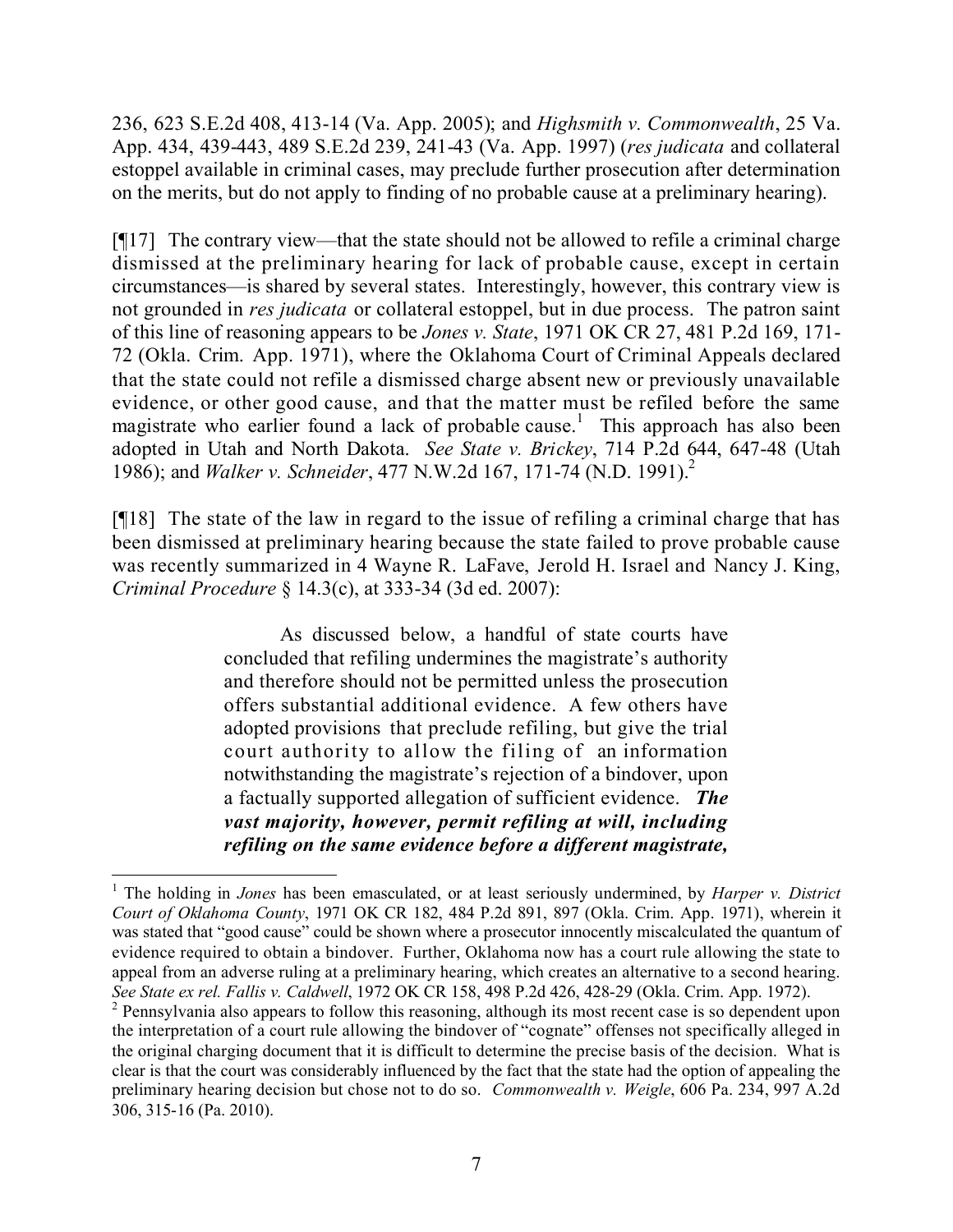236, 623 S.E.2d 408, 413-14 (Va. App. 2005); and *Highsmith v. Commonwealth*, 25 Va. App. 434, 439-443, 489 S.E.2d 239, 241-43 (Va. App. 1997) (*res judicata* and collateral estoppel available in criminal cases, may preclude further prosecution after determination on the merits, but do not apply to finding of no probable cause at a preliminary hearing).

[¶17] The contrary view—that the state should not be allowed to refile a criminal charge dismissed at the preliminary hearing for lack of probable cause, except in certain circumstances—is shared by several states. Interestingly, however, this contrary view is not grounded in *res judicata* or collateral estoppel, but in due process. The patron saint of this line of reasoning appears to be *Jones v. State*, 1971 OK CR 27, 481 P.2d 169, 171- 72 (Okla. Crim. App. 1971), where the Oklahoma Court of Criminal Appeals declared that the state could not refile a dismissed charge absent new or previously unavailable evidence, or other good cause, and that the matter must be refiled before the same magistrate who earlier found a lack of probable cause.<sup>1</sup> This approach has also been adopted in Utah and North Dakota. *See State v. Brickey*, 714 P.2d 644, 647-48 (Utah 1986); and *Walker v. Schneider*, 477 N.W.2d 167, 171-74 (N.D. 1991).<sup>2</sup>

[¶18] The state of the law in regard to the issue of refiling a criminal charge that has been dismissed at preliminary hearing because the state failed to prove probable cause was recently summarized in 4 Wayne R. LaFave, Jerold H. Israel and Nancy J. King, *Criminal Procedure* § 14.3(c), at 333-34 (3d ed. 2007):

> As discussed below, a handful of state courts have concluded that refiling undermines the magistrate's authority and therefore should not be permitted unless the prosecution offers substantial additional evidence. A few others have adopted provisions that preclude refiling, but give the trial court authority to allow the filing of an information notwithstanding the magistrate's rejection of a bindover, upon a factually supported allegation of sufficient evidence. *The vast majority, however, permit refiling at will, including refiling on the same evidence before a different magistrate,*

<sup>1</sup> The holding in *Jones* has been emasculated, or at least seriously undermined, by *Harper v. District Court of Oklahoma County*, 1971 OK CR 182, 484 P.2d 891, 897 (Okla. Crim. App. 1971), wherein it was stated that "good cause" could be shown where a prosecutor innocently miscalculated the quantum of evidence required to obtain a bindover. Further, Oklahoma now has a court rule allowing the state to appeal from an adverse ruling at a preliminary hearing, which creates an alternative to a second hearing. *See State ex rel. Fallis v. Caldwell*, 1972 OK CR 158, 498 P.2d 426, 428-29 (Okla. Crim. App. 1972).

<sup>&</sup>lt;sup>2</sup> Pennsylvania also appears to follow this reasoning, although its most recent case is so dependent upon the interpretation of a court rule allowing the bindover of "cognate" offenses not specifically alleged in the original charging document that it is difficult to determine the precise basis of the decision. What is clear is that the court was considerably influenced by the fact that the state had the option of appealing the preliminary hearing decision but chose not to do so. *Commonwealth v. Weigle*, 606 Pa. 234, 997 A.2d 306, 315-16 (Pa. 2010).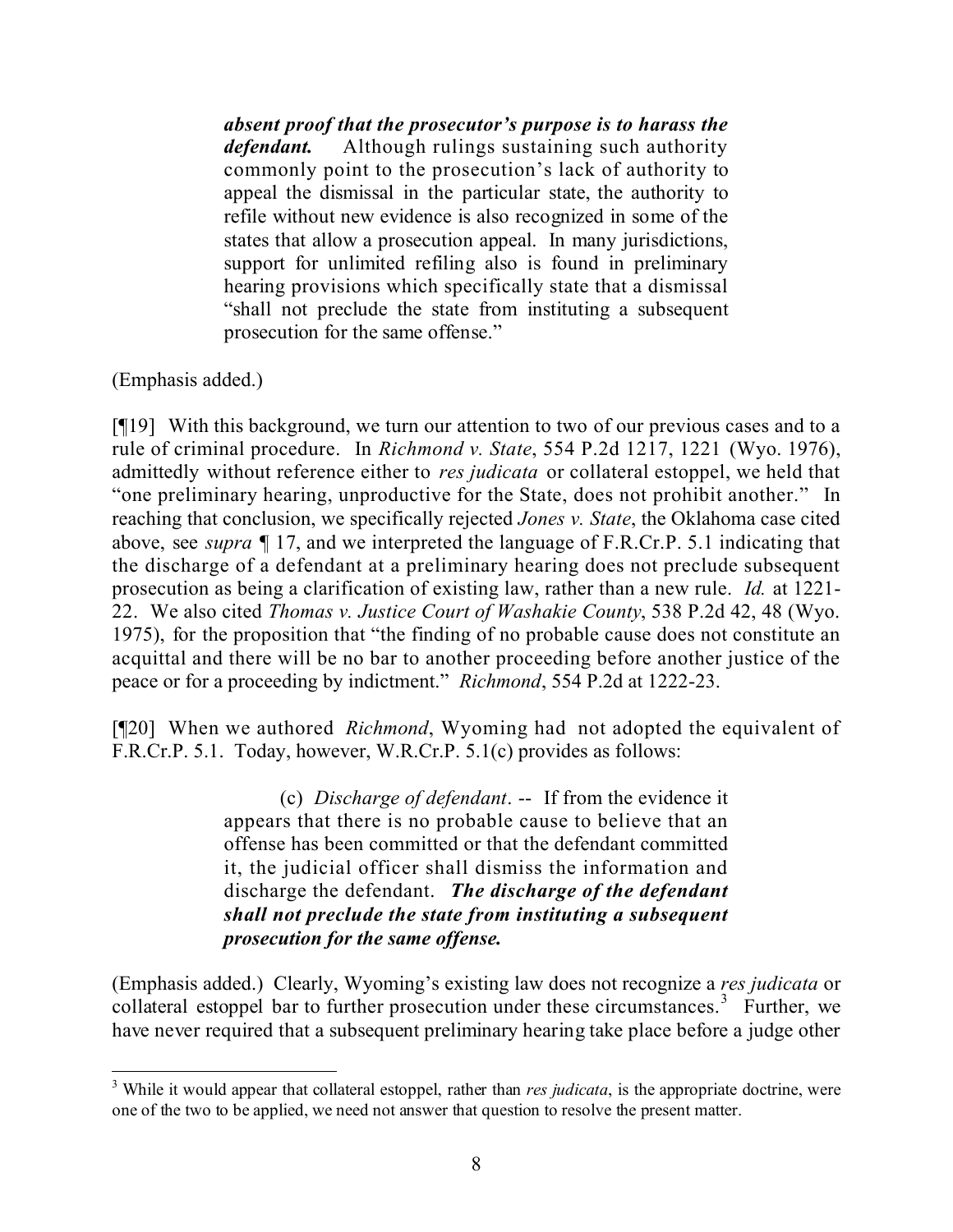*absent proof that the prosecutor's purpose is to harass the defendant.* Although rulings sustaining such authority commonly point to the prosecution's lack of authority to appeal the dismissal in the particular state, the authority to refile without new evidence is also recognized in some of the states that allow a prosecution appeal. In many jurisdictions, support for unlimited refiling also is found in preliminary hearing provisions which specifically state that a dismissal "shall not preclude the state from instituting a subsequent prosecution for the same offense."

(Emphasis added.)

[¶19] With this background, we turn our attention to two of our previous cases and to a rule of criminal procedure. In *Richmond v. State*, 554 P.2d 1217, 1221 (Wyo. 1976), admittedly without reference either to *res judicata* or collateral estoppel, we held that "one preliminary hearing, unproductive for the State, does not prohibit another." In reaching that conclusion, we specifically rejected *Jones v. State*, the Oklahoma case cited above, see *supra* ¶ 17, and we interpreted the language of F.R.Cr.P. 5.1 indicating that the discharge of a defendant at a preliminary hearing does not preclude subsequent prosecution as being a clarification of existing law, rather than a new rule. *Id.* at 1221- 22. We also cited *Thomas v. Justice Court of Washakie County*, 538 P.2d 42, 48 (Wyo. 1975), for the proposition that "the finding of no probable cause does not constitute an acquittal and there will be no bar to another proceeding before another justice of the peace or for a proceeding by indictment." *Richmond*, 554 P.2d at 1222-23.

[¶20] When we authored *Richmond*, Wyoming had not adopted the equivalent of F.R.Cr.P. 5.1. Today, however, W.R.Cr.P. 5.1(c) provides as follows:

> (c) *Discharge of defendant*. -- If from the evidence it appears that there is no probable cause to believe that an offense has been committed or that the defendant committed it, the judicial officer shall dismiss the information and discharge the defendant. *The discharge of the defendant shall not preclude the state from instituting a subsequent prosecution for the same offense.*

(Emphasis added.) Clearly, Wyoming's existing law does not recognize a *res judicata* or collateral estoppel bar to further prosecution under these circumstances.<sup>3</sup> Further, we have never required that a subsequent preliminary hearing take place before a judge other

 <sup>3</sup> While it would appear that collateral estoppel, rather than *res judicata*, is the appropriate doctrine, were one of the two to be applied, we need not answer that question to resolve the present matter.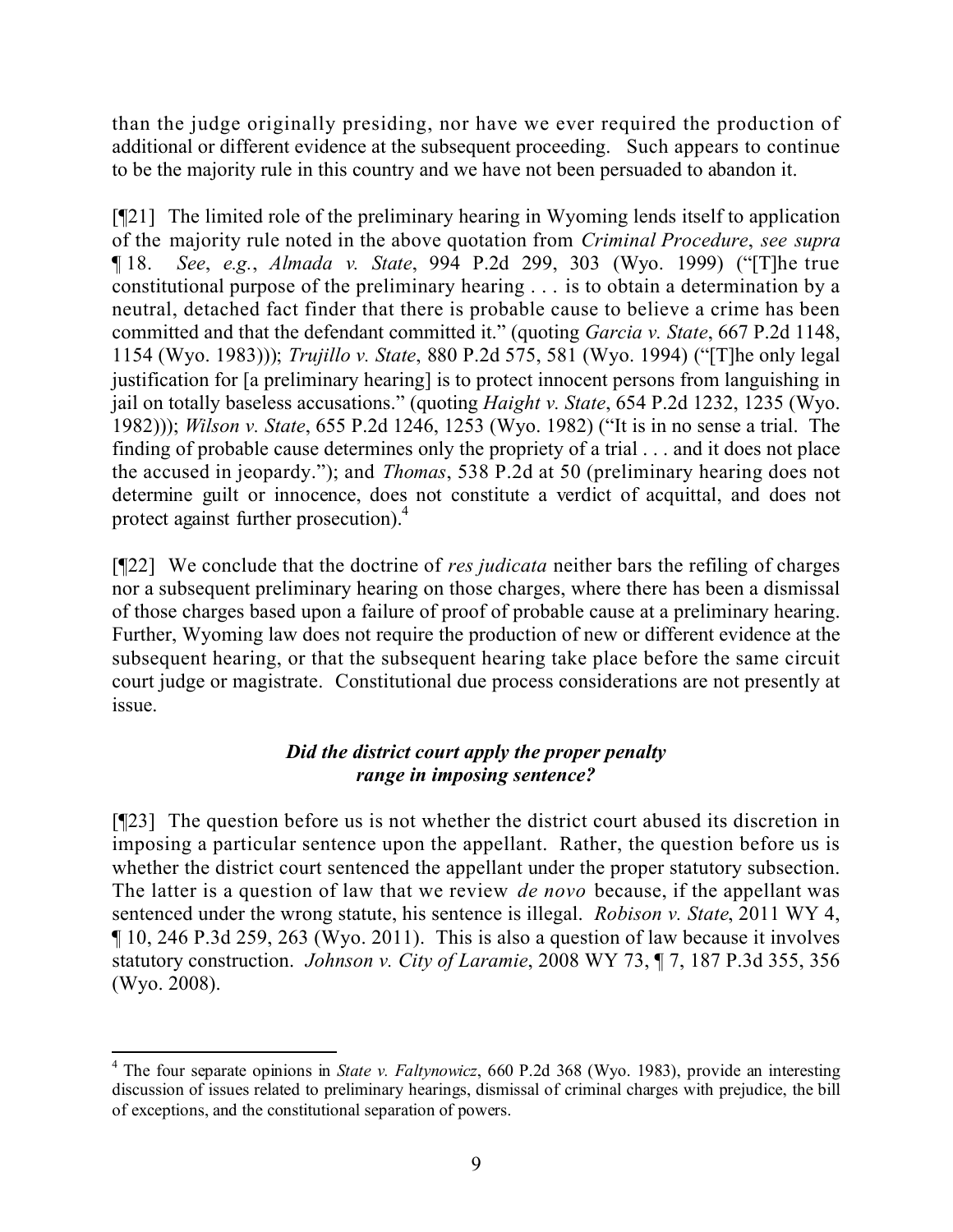than the judge originally presiding, nor have we ever required the production of additional or different evidence at the subsequent proceeding. Such appears to continue to be the majority rule in this country and we have not been persuaded to abandon it.

[¶21] The limited role of the preliminary hearing in Wyoming lends itself to application of the majority rule noted in the above quotation from *Criminal Procedure*, *see supra* ¶ 18. *See*, *e.g.*, *Almada v. State*, 994 P.2d 299, 303 (Wyo. 1999) ("[T]he true constitutional purpose of the preliminary hearing . . . is to obtain a determination by a neutral, detached fact finder that there is probable cause to believe a crime has been committed and that the defendant committed it." (quoting *Garcia v. State*, 667 P.2d 1148, 1154 (Wyo. 1983))); *Trujillo v. State*, 880 P.2d 575, 581 (Wyo. 1994) ("[T]he only legal justification for [a preliminary hearing] is to protect innocent persons from languishing in jail on totally baseless accusations." (quoting *Haight v. State*, 654 P.2d 1232, 1235 (Wyo. 1982))); *Wilson v. State*, 655 P.2d 1246, 1253 (Wyo. 1982) ("It is in no sense a trial. The finding of probable cause determines only the propriety of a trial . . . and it does not place the accused in jeopardy."); and *Thomas*, 538 P.2d at 50 (preliminary hearing does not determine guilt or innocence, does not constitute a verdict of acquittal, and does not protect against further prosecution).<sup>4</sup>

[¶22] We conclude that the doctrine of *res judicata* neither bars the refiling of charges nor a subsequent preliminary hearing on those charges, where there has been a dismissal of those charges based upon a failure of proof of probable cause at a preliminary hearing. Further, Wyoming law does not require the production of new or different evidence at the subsequent hearing, or that the subsequent hearing take place before the same circuit court judge or magistrate. Constitutional due process considerations are not presently at issue.

# *Did the district court apply the proper penalty range in imposing sentence?*

[¶23] The question before us is not whether the district court abused its discretion in imposing a particular sentence upon the appellant. Rather, the question before us is whether the district court sentenced the appellant under the proper statutory subsection. The latter is a question of law that we review *de novo* because, if the appellant was sentenced under the wrong statute, his sentence is illegal. *Robison v. State*, 2011 WY 4, ¶ 10, 246 P.3d 259, 263 (Wyo. 2011). This is also a question of law because it involves statutory construction. *Johnson v. City of Laramie*, 2008 WY 73, ¶ 7, 187 P.3d 355, 356 (Wyo. 2008).

 <sup>4</sup> The four separate opinions in *State v. Faltynowicz*, 660 P.2d 368 (Wyo. 1983), provide an interesting discussion of issues related to preliminary hearings, dismissal of criminal charges with prejudice, the bill of exceptions, and the constitutional separation of powers.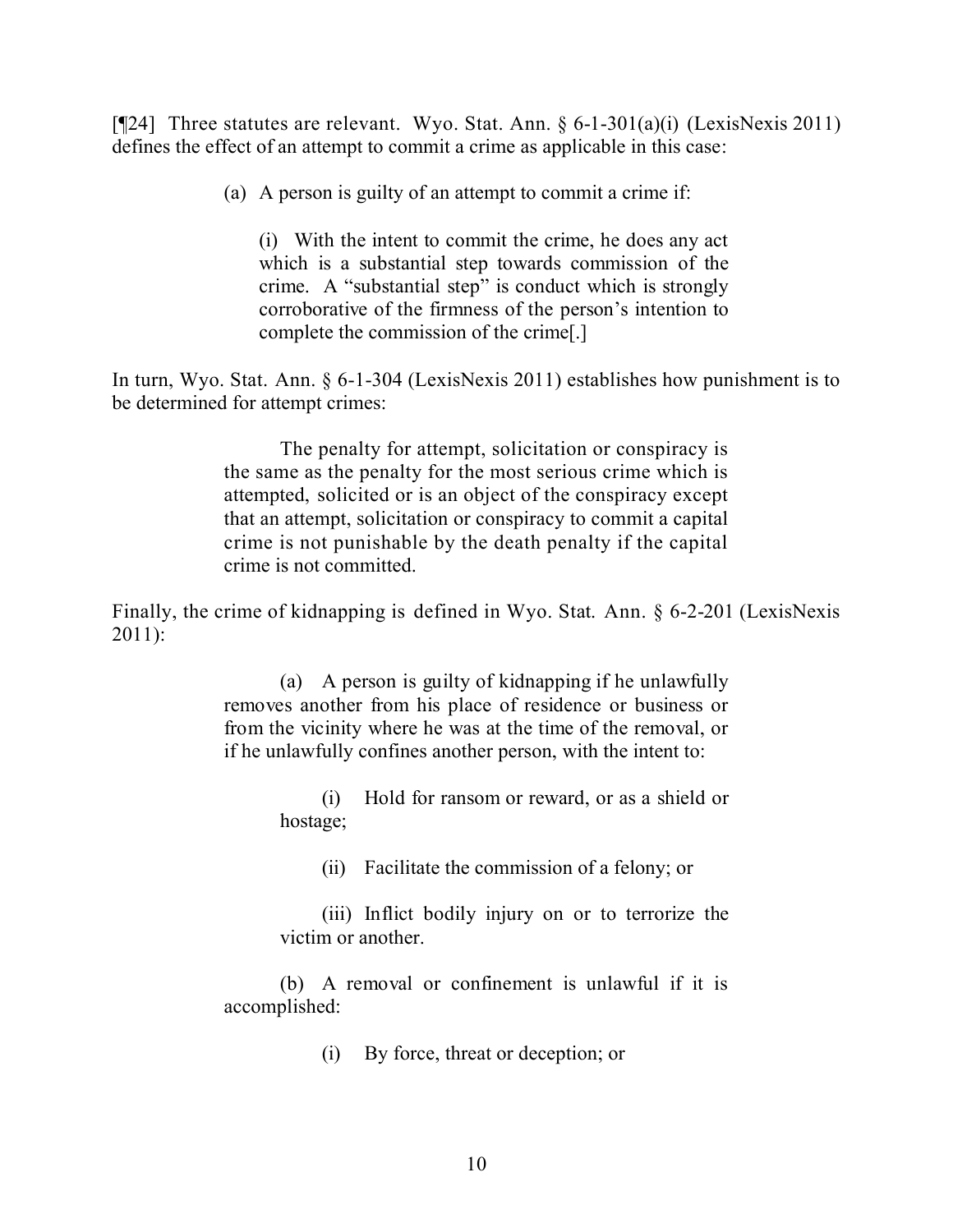[¶24] Three statutes are relevant. Wyo. Stat. Ann. § 6-1-301(a)(i) (LexisNexis 2011) defines the effect of an attempt to commit a crime as applicable in this case:

(a) A person is guilty of an attempt to commit a crime if:

(i) With the intent to commit the crime, he does any act which is a substantial step towards commission of the crime. A "substantial step" is conduct which is strongly corroborative of the firmness of the person's intention to complete the commission of the crime[.]

In turn, Wyo. Stat. Ann. § 6-1-304 (LexisNexis 2011) establishes how punishment is to be determined for attempt crimes:

> The penalty for attempt, solicitation or conspiracy is the same as the penalty for the most serious crime which is attempted, solicited or is an object of the conspiracy except that an attempt, solicitation or conspiracy to commit a capital crime is not punishable by the death penalty if the capital crime is not committed.

Finally, the crime of kidnapping is defined in Wyo. Stat. Ann. § 6-2-201 (LexisNexis 2011):

> (a) A person is guilty of kidnapping if he unlawfully removes another from his place of residence or business or from the vicinity where he was at the time of the removal, or if he unlawfully confines another person, with the intent to:

> > (i) Hold for ransom or reward, or as a shield or hostage;

(ii) Facilitate the commission of a felony; or

(iii) Inflict bodily injury on or to terrorize the victim or another.

(b) A removal or confinement is unlawful if it is accomplished:

(i) By force, threat or deception; or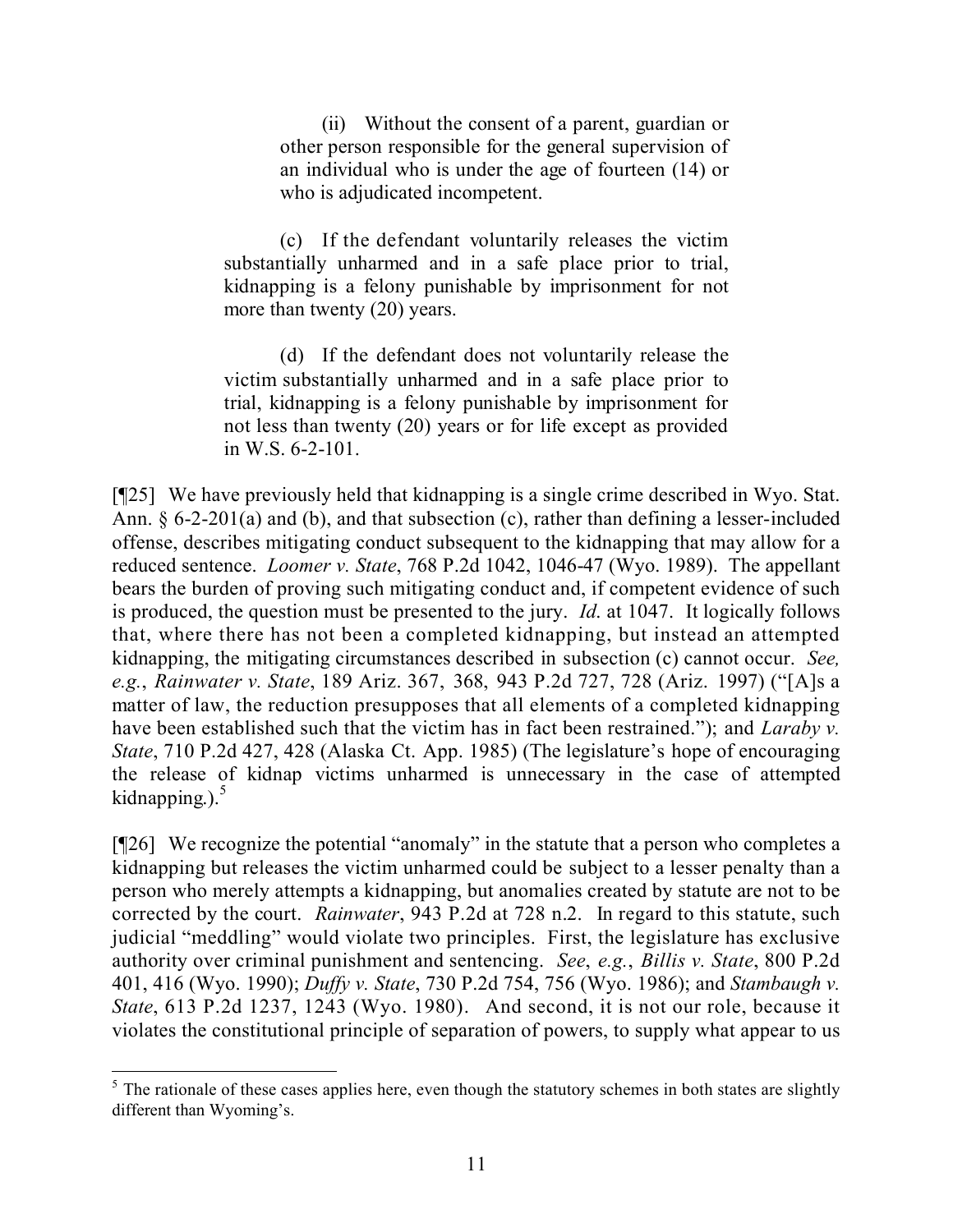(ii) Without the consent of a parent, guardian or other person responsible for the general supervision of an individual who is under the age of fourteen (14) or who is adjudicated incompetent.

(c) If the defendant voluntarily releases the victim substantially unharmed and in a safe place prior to trial, kidnapping is a felony punishable by imprisonment for not more than twenty (20) years.

(d) If the defendant does not voluntarily release the victim substantially unharmed and in a safe place prior to trial, kidnapping is a felony punishable by imprisonment for not less than twenty (20) years or for life except as provided in W.S. 6-2-101.

[¶25] We have previously held that kidnapping is a single crime described in Wyo. Stat. Ann. § 6-2-201(a) and (b), and that subsection (c), rather than defining a lesser-included offense, describes mitigating conduct subsequent to the kidnapping that may allow for a reduced sentence. *Loomer v. State*, 768 P.2d 1042, 1046-47 (Wyo. 1989). The appellant bears the burden of proving such mitigating conduct and, if competent evidence of such is produced, the question must be presented to the jury. *Id*. at 1047. It logically follows that, where there has not been a completed kidnapping, but instead an attempted kidnapping, the mitigating circumstances described in subsection (c) cannot occur. *See, e.g.*, *Rainwater v. State*, 189 Ariz. 367, 368, 943 P.2d 727, 728 (Ariz. 1997) ("[A]s a matter of law, the reduction presupposes that all elements of a completed kidnapping have been established such that the victim has in fact been restrained."); and *Laraby v. State*, 710 P.2d 427, 428 (Alaska Ct. App. 1985) (The legislature's hope of encouraging the release of kidnap victims unharmed is unnecessary in the case of attempted kidnapping.). $5$ 

[¶26] We recognize the potential "anomaly" in the statute that a person who completes a kidnapping but releases the victim unharmed could be subject to a lesser penalty than a person who merely attempts a kidnapping, but anomalies created by statute are not to be corrected by the court. *Rainwater*, 943 P.2d at 728 n.2. In regard to this statute, such judicial "meddling" would violate two principles. First, the legislature has exclusive authority over criminal punishment and sentencing. *See*, *e.g.*, *Billis v. State*, 800 P.2d 401, 416 (Wyo. 1990); *Duffy v. State*, 730 P.2d 754, 756 (Wyo. 1986); and *Stambaugh v. State*, 613 P.2d 1237, 1243 (Wyo. 1980). And second, it is not our role, because it violates the constitutional principle of separation of powers, to supply what appear to us

  $<sup>5</sup>$  The rationale of these cases applies here, even though the statutory schemes in both states are slightly</sup> different than Wyoming's.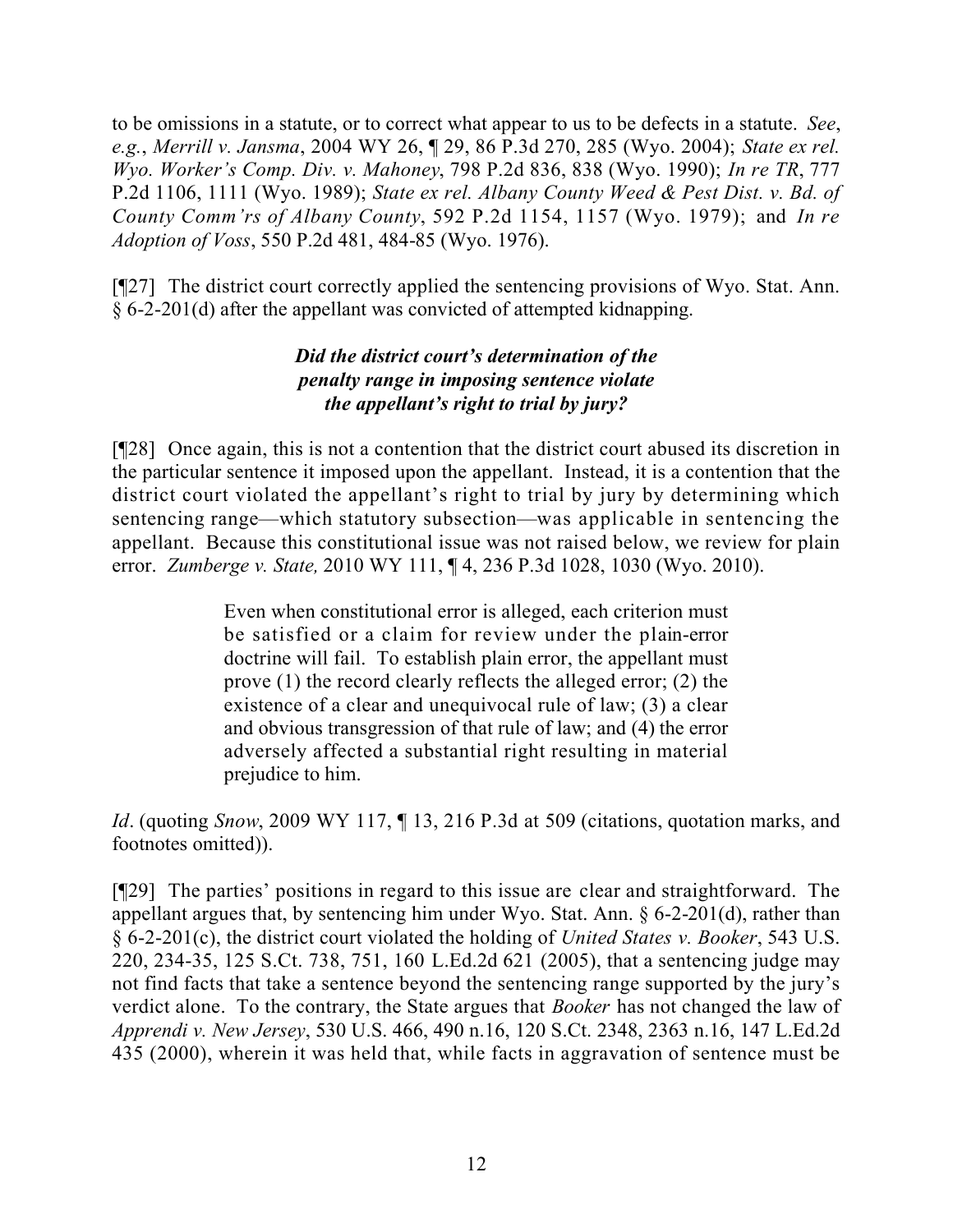to be omissions in a statute, or to correct what appear to us to be defects in a statute. *See*, *e.g.*, *Merrill v. Jansma*, 2004 WY 26, ¶ 29, 86 P.3d 270, 285 (Wyo. 2004); *State ex rel. Wyo. Worker's Comp. Div. v. Mahoney*, 798 P.2d 836, 838 (Wyo. 1990); *In re TR*, 777 P.2d 1106, 1111 (Wyo. 1989); *State ex rel. Albany County Weed & Pest Dist. v. Bd. of County Comm'rs of Albany County*, 592 P.2d 1154, 1157 (Wyo. 1979); and *In re Adoption of Voss*, 550 P.2d 481, 484-85 (Wyo. 1976).

[¶27] The district court correctly applied the sentencing provisions of Wyo. Stat. Ann. § 6-2-201(d) after the appellant was convicted of attempted kidnapping.

## *Did the district court's determination of the penalty range in imposing sentence violate the appellant's right to trial by jury?*

[¶28] Once again, this is not a contention that the district court abused its discretion in the particular sentence it imposed upon the appellant. Instead, it is a contention that the district court violated the appellant's right to trial by jury by determining which sentencing range—which statutory subsection—was applicable in sentencing the appellant. Because this constitutional issue was not raised below, we review for plain error. *Zumberge v. State,* 2010 WY 111, ¶ 4, 236 P.3d 1028, 1030 (Wyo. 2010).

> Even when constitutional error is alleged, each criterion must be satisfied or a claim for review under the plain-error doctrine will fail. To establish plain error, the appellant must prove (1) the record clearly reflects the alleged error; (2) the existence of a clear and unequivocal rule of law; (3) a clear and obvious transgression of that rule of law; and (4) the error adversely affected a substantial right resulting in material prejudice to him.

*Id*. (quoting *Snow*, 2009 WY 117, ¶ 13, 216 P.3d at 509 (citations, quotation marks, and footnotes omitted)).

[¶29] The parties' positions in regard to this issue are clear and straightforward. The appellant argues that, by sentencing him under Wyo. Stat. Ann. § 6-2-201(d), rather than § 6-2-201(c), the district court violated the holding of *United States v. Booker*, 543 U.S. 220, 234-35, 125 S.Ct. 738, 751, 160 L.Ed.2d 621 (2005), that a sentencing judge may not find facts that take a sentence beyond the sentencing range supported by the jury's verdict alone. To the contrary, the State argues that *Booker* has not changed the law of *Apprendi v. New Jersey*, 530 U.S. 466, 490 n.16, 120 S.Ct. 2348, 2363 n.16, 147 L.Ed.2d 435 (2000), wherein it was held that, while facts in aggravation of sentence must be